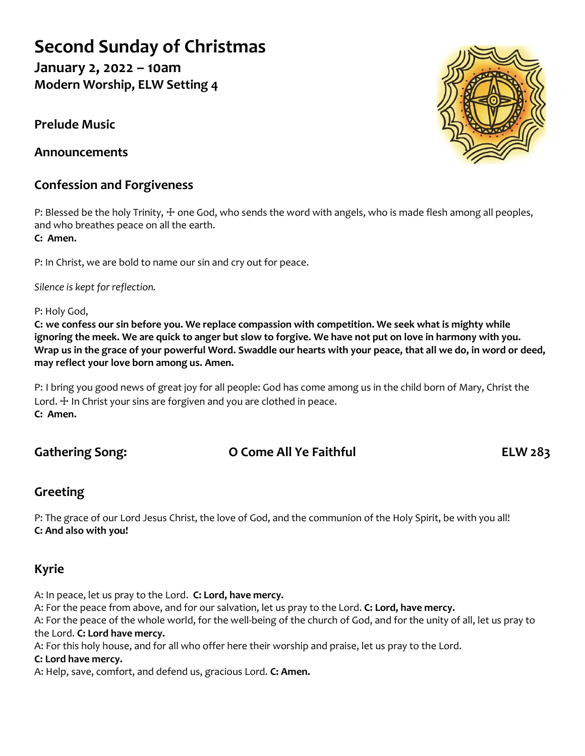# **Second Sunday of Christmas**

**January 2, 2022 – 10am Modern Worship, ELW Setting 4**

**Prelude Music**

**Announcements**

# **Confession and Forgiveness**

P: Blessed be the holy Trinity,  $\pm$  one God, who sends the word with angels, who is made flesh among all peoples, and who breathes peace on all the earth.

**C: Amen.**

P: In Christ, we are bold to name our sin and cry out for peace.

*Silence is kept for reflection.*

P: Holy God,

**C: we confess our sin before you. We replace compassion with competition. We seek what is mighty while ignoring the meek. We are quick to anger but slow to forgive. We have not put on love in harmony with you. Wrap us in the grace of your powerful Word. Swaddle our hearts with your peace, that all we do, in word or deed, may reflect your love born among us. Amen.**

P: I bring you good news of great joy for all people: God has come among us in the child born of Mary, Christ the Lord.  $\pm$  In Christ your sins are forgiven and you are clothed in peace. **C: Amen.**

# **Gathering Song: O Come All Ye Faithful ELW 283**

# **Greeting**

P: The grace of our Lord Jesus Christ, the love of God, and the communion of the Holy Spirit, be with you all! **C: And also with you!**

# **Kyrie**

A: In peace, let us pray to the Lord. **C: Lord, have mercy.**

A: For the peace from above, and for our salvation, let us pray to the Lord. **C: Lord, have mercy.** A: For the peace of the whole world, for the well-being of the church of God, and for the unity of all, let us pray to the Lord. **C: Lord have mercy.**

A: For this holy house, and for all who offer here their worship and praise, let us pray to the Lord.

#### **C: Lord have mercy.**

A: Help, save, comfort, and defend us, gracious Lord. **C: Amen.**

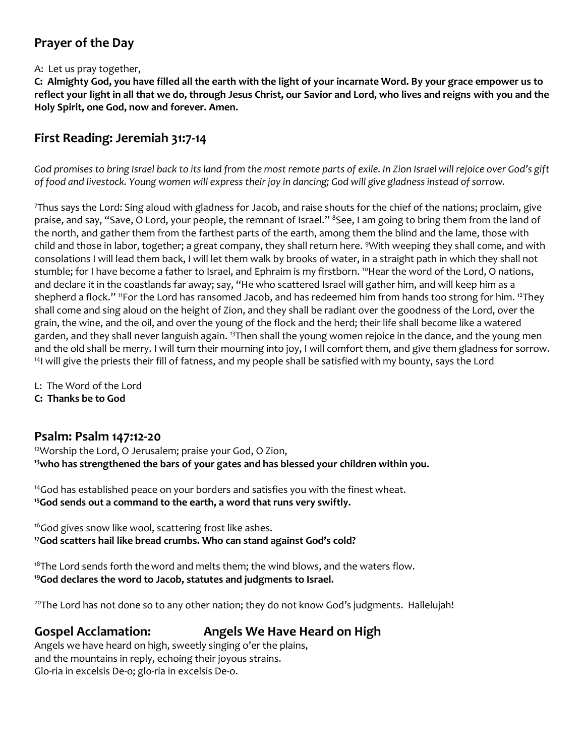### **Prayer of the Day**

#### A: Let us pray together,

**C: Almighty God, you have filled all the earth with the light of your incarnate Word. By your grace empower us to reflect your light in all that we do, through Jesus Christ, our Savior and Lord, who lives and reigns with you and the Holy Spirit, one God, now and forever. Amen.**

### **First Reading: Jeremiah 31:7-14**

*God promises to bring Israel back to its land from the most remote parts of exile. In Zion Israel will rejoice over God's gift of food and livestock. Young women will express their joy in dancing; God will give gladness instead of sorrow.*

<sup>7</sup>Thus says the Lord: Sing aloud with gladness for Jacob, and raise shouts for the chief of the nations; proclaim, give praise, and say, "Save, O Lord, your people, the remnant of Israel." <sup>8</sup>See, I am going to bring them from the land of the north, and gather them from the farthest parts of the earth, among them the blind and the lame, those with child and those in labor, together; a great company, they shall return here. <sup>9</sup>With weeping they shall come, and with consolations I will lead them back, I will let them walk by brooks of water, in a straight path in which they shall not stumble; for I have become a father to Israel, and Ephraim is my firstborn. <sup>10</sup>Hear the word of the Lord, O nations, and declare it in the coastlands far away; say, "He who scattered Israel will gather him, and will keep him as a shepherd a flock." "For the Lord has ransomed Jacob, and has redeemed him from hands too strong for him. <sup>12</sup>They shall come and sing aloud on the height of Zion, and they shall be radiant over the goodness of the Lord, over the grain, the wine, and the oil, and over the young of the flock and the herd; their life shall become like a watered garden, and they shall never languish again. <sup>13</sup>Then shall the young women rejoice in the dance, and the young men and the old shall be merry. I will turn their mourning into joy, I will comfort them, and give them gladness for sorrow. <sup>14</sup>I will give the priests their fill of fatness, and my people shall be satisfied with my bounty, says the Lord

L: The Word of the Lord

**C: Thanks be to God**

#### **Psalm: Psalm 147:12-20**

<sup>12</sup>Worship the Lord, O Jerusalem; praise your God, O Zion, **<sup>13</sup>who has strengthened the bars of your gates and has blessed your children within you.**

<sup>14</sup>God has established peace on your borders and satisfies you with the finest wheat. **<sup>15</sup>God sends out a command to the earth, a word that runs very swiftly.**

<sup>16</sup>God gives snow like wool, scattering frost like ashes. **<sup>17</sup>God scatters hail like bread crumbs. Who can stand against God's cold?**

 $18$ The Lord sends forth the word and melts them; the wind blows, and the waters flow. **<sup>19</sup>God declares the word to Jacob, statutes and judgments to Israel.**

<sup>20</sup>The Lord has not done so to any other nation; they do not know God's judgments. Hallelujah!

#### **Gospel Acclamation: Angels We Have Heard on High**

Angels we have heard on high, sweetly singing o'er the plains, and the mountains in reply, echoing their joyous strains. Glo-ria in excelsis De-o; glo-ria in excelsis De-o.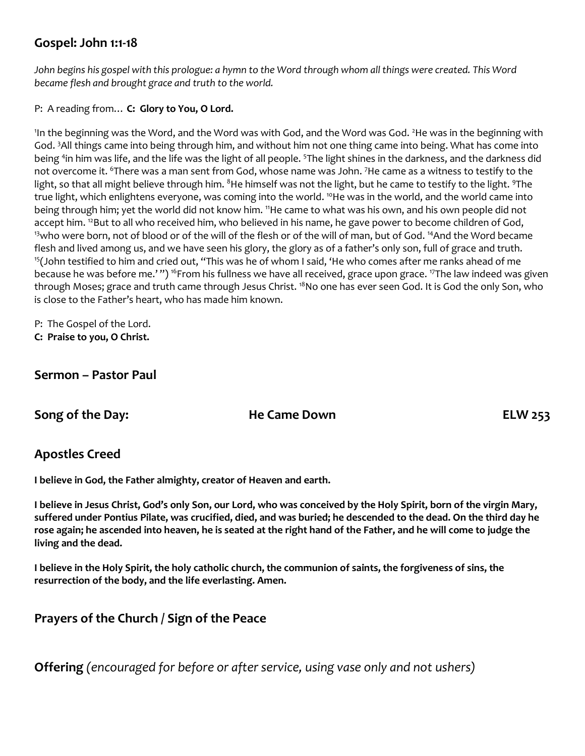### **Gospel: John 1:1-18**

*John begins his gospel with this prologue: a hymn to the Word through whom all things were created. This Word became flesh and brought grace and truth to the world.*

P: A reading from… **C: Glory to You, O Lord.**

'In the beginning was the Word, and the Word was with God, and the Word was God. <sup>2</sup>He was in the beginning with God. <sup>3</sup>All things came into being through him, and without him not one thing came into being. What has come into being <sup>4</sup>in him was life, and the life was the light of all people. <sup>5</sup>The light shines in the darkness, and the darkness did not overcome it. <sup>6</sup>There was a man sent from God, whose name was John. <sup>7</sup>He came as a witness to testify to the light, so that all might believe through him. <sup>8</sup>He himself was not the light, but he came to testify to the light. <sup>9</sup>The true light, which enlightens everyone, was coming into the world. <sup>10</sup>He was in the world, and the world came into being through him; yet the world did not know him. <sup>11</sup>He came to what was his own, and his own people did not accept him. <sup>12</sup>But to all who received him, who believed in his name, he gave power to become children of God, <sup>13</sup>who were born, not of blood or of the will of the flesh or of the will of man, but of God. <sup>14</sup>And the Word became flesh and lived among us, and we have seen his glory, the glory as of a father's only son, full of grace and truth. <sup>15</sup>(John testified to him and cried out, "This was he of whom I said, 'He who comes after me ranks ahead of me because he was before me.'") <sup>16</sup>From his fullness we have all received, grace upon grace. <sup>17</sup>The law indeed was given through Moses; grace and truth came through Jesus Christ. <sup>18</sup>No one has ever seen God. It is God the only Son, who is close to the Father's heart, who has made him known.

P: The Gospel of the Lord. **C: Praise to you, O Christ.**

#### **Sermon – Pastor Paul**

**Song of the Day: He Came Down ELW 253**

#### **Apostles Creed**

**I believe in God, the Father almighty, creator of Heaven and earth.** 

**I believe in Jesus Christ, God's only Son, our Lord, who was conceived by the Holy Spirit, born of the virgin Mary, suffered under Pontius Pilate, was crucified, died, and was buried; he descended to the dead. On the third day he rose again; he ascended into heaven, he is seated at the right hand of the Father, and he will come to judge the living and the dead.**

**I believe in the Holy Spirit, the holy catholic church, the communion of saints, the forgiveness of sins, the resurrection of the body, and the life everlasting. Amen.**

### **Prayers of the Church / Sign of the Peace**

**Offering** *(encouraged for before or after service, using vase only and not ushers)*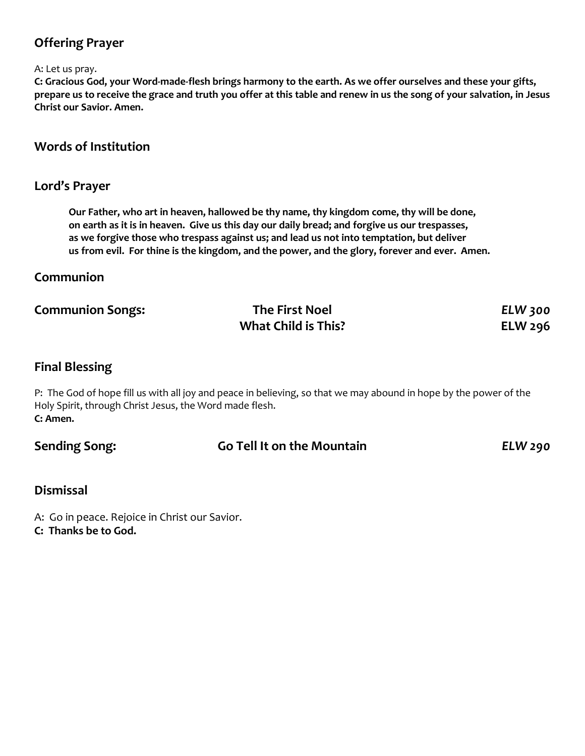## **Offering Prayer**

#### A: Let us pray.

**C: Gracious God, your Word-made-flesh brings harmony to the earth. As we offer ourselves and these your gifts, prepare us to receive the grace and truth you offer at this table and renew in us the song of your salvation, in Jesus Christ our Savior. Amen.**

#### **Words of Institution**

#### **Lord's Prayer**

**Our Father, who art in heaven, hallowed be thy name, thy kingdom come, thy will be done, on earth as it is in heaven. Give us this day our daily bread; and forgive us our trespasses, as we forgive those who trespass against us; and lead us not into temptation, but deliver us from evil. For thine is the kingdom, and the power, and the glory, forever and ever. Amen.**

#### **Communion**

| <b>Communion Songs:</b> | The First Noel             | <b>ELW 300</b> |
|-------------------------|----------------------------|----------------|
|                         | <b>What Child is This?</b> | <b>ELW 296</b> |

#### **Final Blessing**

P: The God of hope fill us with all joy and peace in believing, so that we may abound in hope by the power of the Holy Spirit, through Christ Jesus, the Word made flesh. **C: Amen.**

| <b>Sending Song:</b> | <b>Go Tell It on the Mountain</b> | ELW 290 |
|----------------------|-----------------------------------|---------|

#### **Dismissal**

A: Go in peace. Rejoice in Christ our Savior.

**C: Thanks be to God.**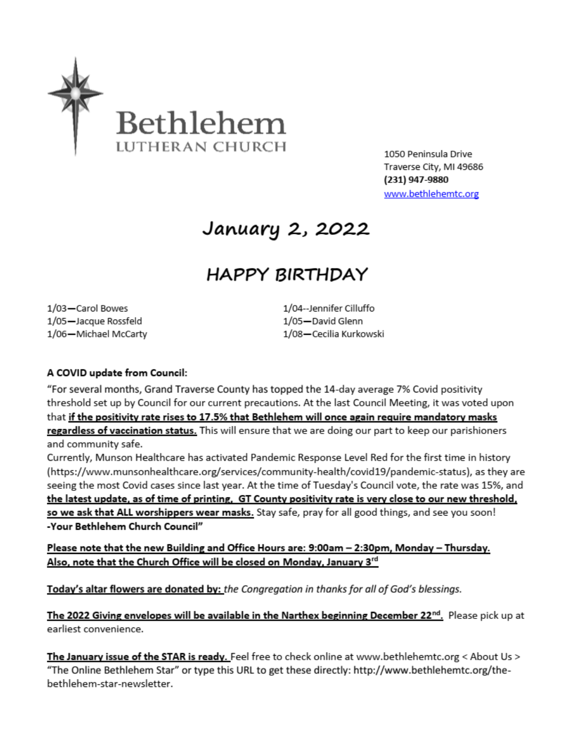

1050 Peninsula Drive Traverse City, MI 49686 (231) 947-9880 www.bethlehemtc.org

# January 2, 2022

# **HAPPY BIRTHDAY**

1/03-Carol Bowes 1/05-Jacque Rossfeld 1/06-Michael McCarty 1/04--Jennifer Cilluffo 1/05-David Glenn 1/08-Cecilia Kurkowski

#### A COVID update from Council:

"For several months, Grand Traverse County has topped the 14-day average 7% Covid positivity threshold set up by Council for our current precautions. At the last Council Meeting, it was voted upon that if the positivity rate rises to 17.5% that Bethlehem will once again require mandatory masks regardless of vaccination status. This will ensure that we are doing our part to keep our parishioners and community safe.

Currently, Munson Healthcare has activated Pandemic Response Level Red for the first time in history (https://www.munsonhealthcare.org/services/community-health/covid19/pandemic-status), as they are seeing the most Covid cases since last year. At the time of Tuesday's Council vote, the rate was 15%, and the latest update, as of time of printing, GT County positivity rate is very close to our new threshold, so we ask that ALL worshippers wear masks. Stay safe, pray for all good things, and see you soon! -Your Bethlehem Church Council"

Please note that the new Building and Office Hours are: 9:00am - 2:30pm, Monday - Thursday. Also, note that the Church Office will be closed on Monday, January 3rd

Today's altar flowers are donated by: the Congregation in thanks for all of God's blessings.

The 2022 Giving envelopes will be available in the Narthex beginning December 22<sup>nd</sup>. Please pick up at earliest convenience.

The January issue of the STAR is ready. Feel free to check online at www.bethlehemtc.org < About Us > "The Online Bethlehem Star" or type this URL to get these directly: http://www.bethlehemtc.org/thebethlehem-star-newsletter.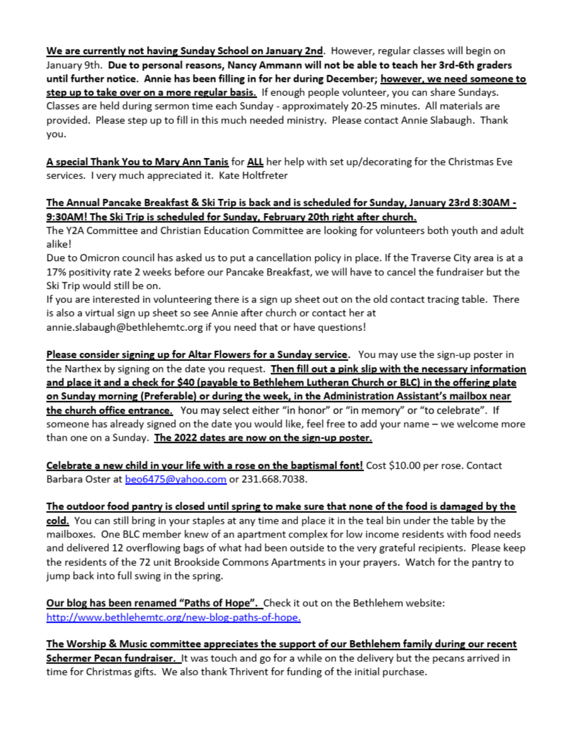We are currently not having Sunday School on January 2nd. However, regular classes will begin on January 9th. Due to personal reasons, Nancy Ammann will not be able to teach her 3rd-6th graders until further notice. Annie has been filling in for her during December; however, we need someone to step up to take over on a more regular basis. If enough people volunteer, you can share Sundays. Classes are held during sermon time each Sunday - approximately 20-25 minutes. All materials are provided. Please step up to fill in this much needed ministry. Please contact Annie Slabaugh. Thank you.

A special Thank You to Mary Ann Tanis for ALL her help with set up/decorating for the Christmas Eve services. I very much appreciated it. Kate Holtfreter

#### The Annual Pancake Breakfast & Ski Trip is back and is scheduled for Sunday, January 23rd 8:30AM -9:30AM! The Ski Trip is scheduled for Sunday, February 20th right after church.

The Y2A Committee and Christian Education Committee are looking for volunteers both youth and adult alike!

Due to Omicron council has asked us to put a cancellation policy in place. If the Traverse City area is at a 17% positivity rate 2 weeks before our Pancake Breakfast, we will have to cancel the fundraiser but the Ski Trip would still be on.

If you are interested in volunteering there is a sign up sheet out on the old contact tracing table. There is also a virtual sign up sheet so see Annie after church or contact her at

annie.slabaugh@bethlehemtc.org if you need that or have questions!

Please consider signing up for Altar Flowers for a Sunday service. You may use the sign-up poster in the Narthex by signing on the date you request. Then fill out a pink slip with the necessary information and place it and a check for \$40 (payable to Bethlehem Lutheran Church or BLC) in the offering plate on Sunday morning (Preferable) or during the week, in the Administration Assistant's mailbox near the church office entrance. You may select either "in honor" or "in memory" or "to celebrate". If someone has already signed on the date you would like, feel free to add your name - we welcome more than one on a Sunday. The 2022 dates are now on the sign-up poster.

Celebrate a new child in your life with a rose on the baptismal font! Cost \$10.00 per rose. Contact Barbara Oster at beo6475@yahoo.com or 231.668.7038.

#### The outdoor food pantry is closed until spring to make sure that none of the food is damaged by the

cold. You can still bring in your staples at any time and place it in the teal bin under the table by the mailboxes. One BLC member knew of an apartment complex for low income residents with food needs and delivered 12 overflowing bags of what had been outside to the very grateful recipients. Please keep the residents of the 72 unit Brookside Commons Apartments in your prayers. Watch for the pantry to jump back into full swing in the spring.

Our blog has been renamed "Paths of Hope". Check it out on the Bethlehem website: http://www.bethlehemtc.org/new-blog-paths-of-hope.

The Worship & Music committee appreciates the support of our Bethlehem family during our recent Schermer Pecan fundraiser. It was touch and go for a while on the delivery but the pecans arrived in time for Christmas gifts. We also thank Thrivent for funding of the initial purchase.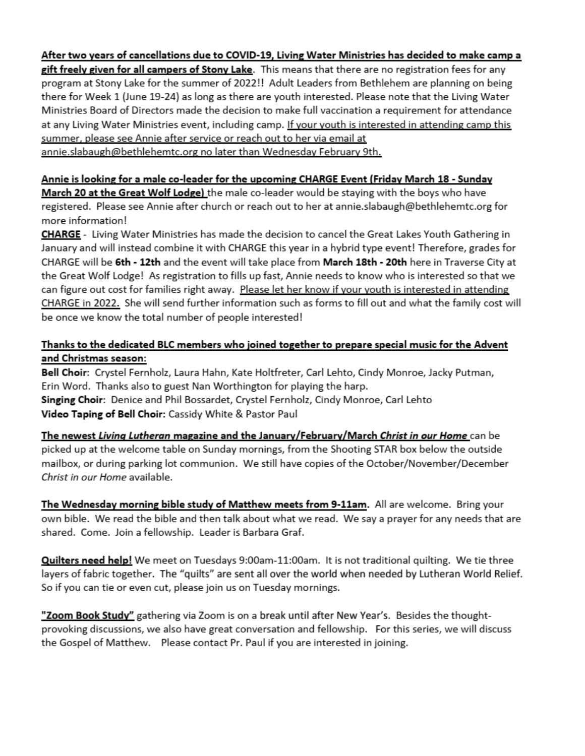#### After two years of cancellations due to COVID-19, Living Water Ministries has decided to make camp a

gift freely given for all campers of Stony Lake. This means that there are no registration fees for any program at Stony Lake for the summer of 2022!! Adult Leaders from Bethlehem are planning on being there for Week 1 (June 19-24) as long as there are youth interested. Please note that the Living Water Ministries Board of Directors made the decision to make full vaccination a requirement for attendance at any Living Water Ministries event, including camp. If your youth is interested in attending camp this summer, please see Annie after service or reach out to her via email at annie.slabaugh@bethlehemtc.org no later than Wednesday February 9th.

#### Annie is looking for a male co-leader for the upcoming CHARGE Event (Friday March 18 - Sunday

March 20 at the Great Wolf Lodge) the male co-leader would be staying with the boys who have registered. Please see Annie after church or reach out to her at annie.slabaugh@bethlehemtc.org for more information!

CHARGE - Living Water Ministries has made the decision to cancel the Great Lakes Youth Gathering in January and will instead combine it with CHARGE this year in a hybrid type event! Therefore, grades for CHARGE will be 6th - 12th and the event will take place from March 18th - 20th here in Traverse City at the Great Wolf Lodge! As registration to fills up fast, Annie needs to know who is interested so that we can figure out cost for families right away. Please let her know if your youth is interested in attending CHARGE in 2022. She will send further information such as forms to fill out and what the family cost will be once we know the total number of people interested!

#### Thanks to the dedicated BLC members who joined together to prepare special music for the Advent and Christmas season:

Bell Choir: Crystel Fernholz, Laura Hahn, Kate Holtfreter, Carl Lehto, Cindy Monroe, Jacky Putman, Erin Word. Thanks also to guest Nan Worthington for playing the harp. Singing Choir: Denice and Phil Bossardet, Crystel Fernholz, Cindy Monroe, Carl Lehto Video Taping of Bell Choir: Cassidy White & Pastor Paul

The newest Living Lutheran magazine and the January/February/March Christ in our Home can be picked up at the welcome table on Sunday mornings, from the Shooting STAR box below the outside mailbox, or during parking lot communion. We still have copies of the October/November/December Christ in our Home available.

The Wednesday morning bible study of Matthew meets from 9-11am. All are welcome. Bring your own bible. We read the bible and then talk about what we read. We say a prayer for any needs that are shared. Come. Join a fellowship. Leader is Barbara Graf.

Quilters need help! We meet on Tuesdays 9:00am-11:00am. It is not traditional quilting. We tie three layers of fabric together. The "quilts" are sent all over the world when needed by Lutheran World Relief. So if you can tie or even cut, please join us on Tuesday mornings.

"Zoom Book Study" gathering via Zoom is on a break until after New Year's. Besides the thoughtprovoking discussions, we also have great conversation and fellowship. For this series, we will discuss the Gospel of Matthew. Please contact Pr. Paul if you are interested in joining.